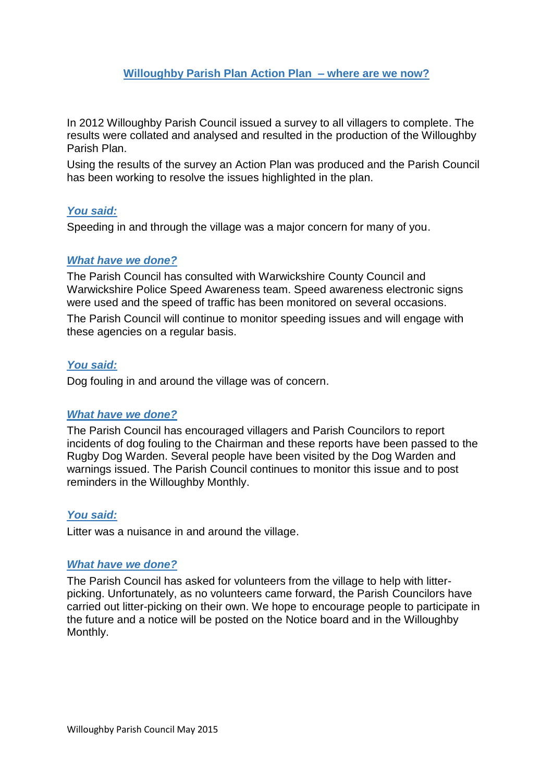# **Willoughby Parish Plan Action Plan – where are we now?**

In 2012 Willoughby Parish Council issued a survey to all villagers to complete. The results were collated and analysed and resulted in the production of the Willoughby Parish Plan.

Using the results of the survey an Action Plan was produced and the Parish Council has been working to resolve the issues highlighted in the plan.

## *You said:*

Speeding in and through the village was a major concern for many of you.

## *What have we done?*

The Parish Council has consulted with Warwickshire County Council and Warwickshire Police Speed Awareness team. Speed awareness electronic signs were used and the speed of traffic has been monitored on several occasions.

The Parish Council will continue to monitor speeding issues and will engage with these agencies on a regular basis.

## *You said:*

Dog fouling in and around the village was of concern.

## *What have we done?*

The Parish Council has encouraged villagers and Parish Councilors to report incidents of dog fouling to the Chairman and these reports have been passed to the Rugby Dog Warden. Several people have been visited by the Dog Warden and warnings issued. The Parish Council continues to monitor this issue and to post reminders in the Willoughby Monthly.

## *You said:*

Litter was a nuisance in and around the village.

## *What have we done?*

The Parish Council has asked for volunteers from the village to help with litterpicking. Unfortunately, as no volunteers came forward, the Parish Councilors have carried out litter-picking on their own. We hope to encourage people to participate in the future and a notice will be posted on the Notice board and in the Willoughby Monthly.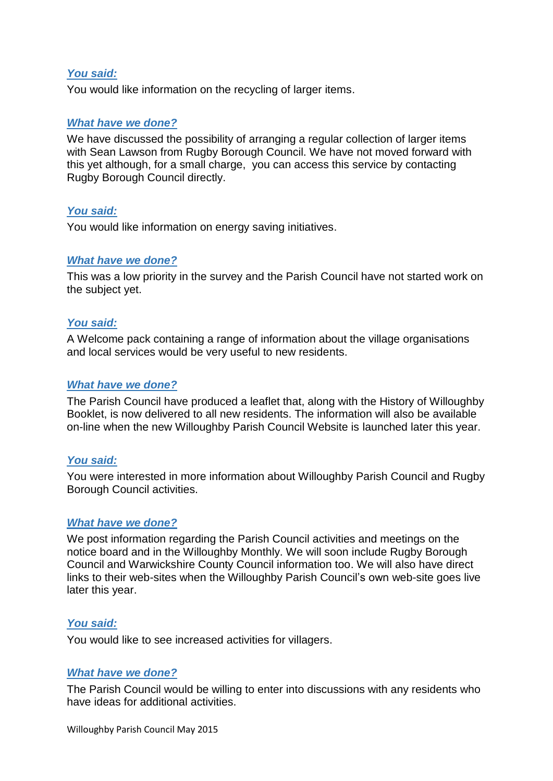## *You said:*

You would like information on the recycling of larger items.

## *What have we done?*

We have discussed the possibility of arranging a regular collection of larger items with Sean Lawson from Rugby Borough Council. We have not moved forward with this yet although, for a small charge, you can access this service by contacting Rugby Borough Council directly.

## *You said:*

You would like information on energy saving initiatives.

## *What have we done?*

This was a low priority in the survey and the Parish Council have not started work on the subject yet.

## *You said:*

A Welcome pack containing a range of information about the village organisations and local services would be very useful to new residents.

## *What have we done?*

The Parish Council have produced a leaflet that, along with the History of Willoughby Booklet, is now delivered to all new residents. The information will also be available on-line when the new Willoughby Parish Council Website is launched later this year.

### *You said:*

You were interested in more information about Willoughby Parish Council and Rugby Borough Council activities.

### *What have we done?*

We post information regarding the Parish Council activities and meetings on the notice board and in the Willoughby Monthly. We will soon include Rugby Borough Council and Warwickshire County Council information too. We will also have direct links to their web-sites when the Willoughby Parish Council's own web-site goes live later this year.

### *You said:*

You would like to see increased activities for villagers.

### *What have we done?*

The Parish Council would be willing to enter into discussions with any residents who have ideas for additional activities.

Willoughby Parish Council May 2015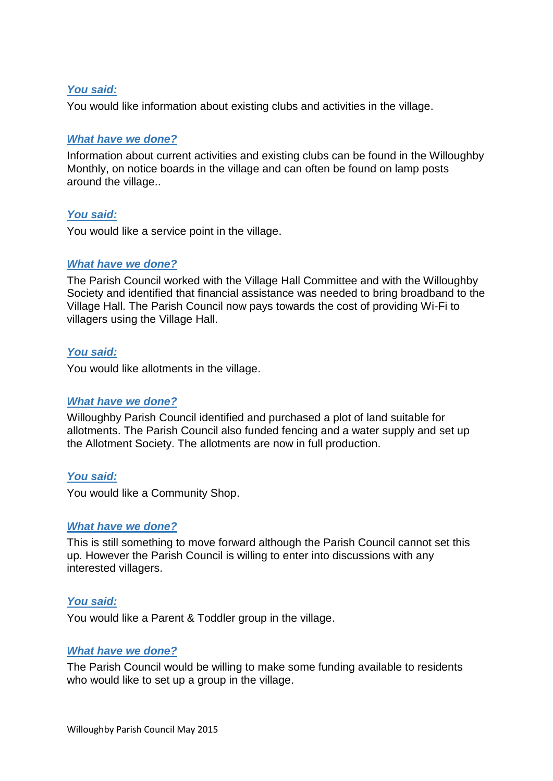## *You said:*

You would like information about existing clubs and activities in the village.

## *What have we done?*

Information about current activities and existing clubs can be found in the Willoughby Monthly, on notice boards in the village and can often be found on lamp posts around the village..

## *You said:*

You would like a service point in the village.

## *What have we done?*

The Parish Council worked with the Village Hall Committee and with the Willoughby Society and identified that financial assistance was needed to bring broadband to the Village Hall. The Parish Council now pays towards the cost of providing Wi-Fi to villagers using the Village Hall.

## *You said:*

You would like allotments in the village.

### *What have we done?*

Willoughby Parish Council identified and purchased a plot of land suitable for allotments. The Parish Council also funded fencing and a water supply and set up the Allotment Society. The allotments are now in full production.

### *You said:*

You would like a Community Shop.

### *What have we done?*

This is still something to move forward although the Parish Council cannot set this up. However the Parish Council is willing to enter into discussions with any interested villagers.

### *You said:*

You would like a Parent & Toddler group in the village.

### *What have we done?*

The Parish Council would be willing to make some funding available to residents who would like to set up a group in the village.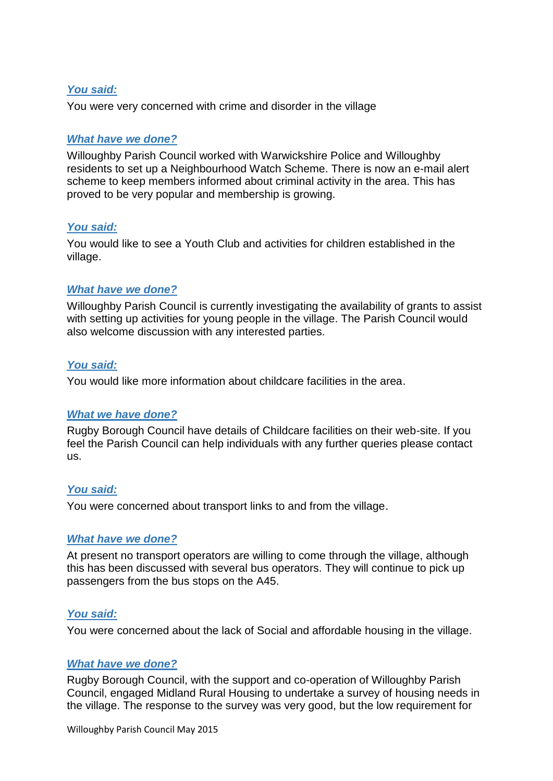## *You said:*

You were very concerned with crime and disorder in the village

## *What have we done?*

Willoughby Parish Council worked with Warwickshire Police and Willoughby residents to set up a Neighbourhood Watch Scheme. There is now an e-mail alert scheme to keep members informed about criminal activity in the area. This has proved to be very popular and membership is growing.

## *You said:*

You would like to see a Youth Club and activities for children established in the village.

## *What have we done?*

Willoughby Parish Council is currently investigating the availability of grants to assist with setting up activities for young people in the village. The Parish Council would also welcome discussion with any interested parties.

### *You said:*

You would like more information about childcare facilities in the area.

### *What we have done?*

Rugby Borough Council have details of Childcare facilities on their web-site. If you feel the Parish Council can help individuals with any further queries please contact us.

### *You said:*

You were concerned about transport links to and from the village.

### *What have we done?*

At present no transport operators are willing to come through the village, although this has been discussed with several bus operators. They will continue to pick up passengers from the bus stops on the A45.

### *You said:*

You were concerned about the lack of Social and affordable housing in the village.

### *What have we done?*

Rugby Borough Council, with the support and co-operation of Willoughby Parish Council, engaged Midland Rural Housing to undertake a survey of housing needs in the village. The response to the survey was very good, but the low requirement for

Willoughby Parish Council May 2015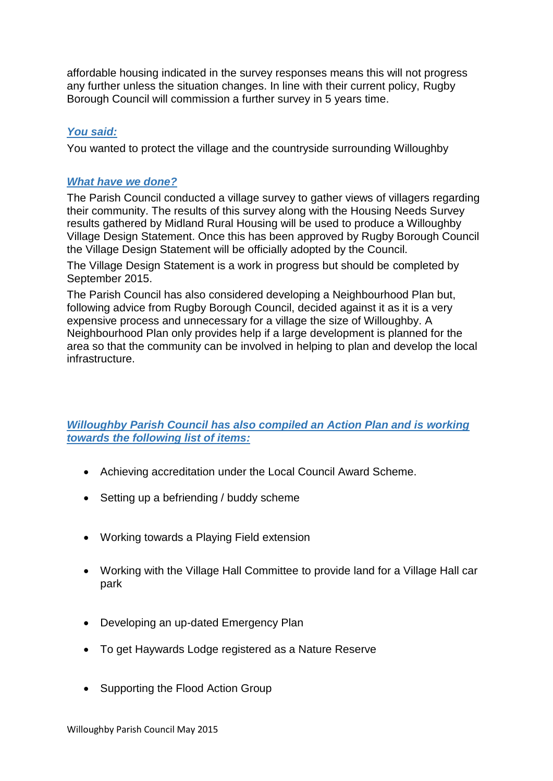affordable housing indicated in the survey responses means this will not progress any further unless the situation changes. In line with their current policy, Rugby Borough Council will commission a further survey in 5 years time.

# *You said:*

You wanted to protect the village and the countryside surrounding Willoughby

## *What have we done?*

The Parish Council conducted a village survey to gather views of villagers regarding their community. The results of this survey along with the Housing Needs Survey results gathered by Midland Rural Housing will be used to produce a Willoughby Village Design Statement. Once this has been approved by Rugby Borough Council the Village Design Statement will be officially adopted by the Council.

The Village Design Statement is a work in progress but should be completed by September 2015.

The Parish Council has also considered developing a Neighbourhood Plan but, following advice from Rugby Borough Council, decided against it as it is a very expensive process and unnecessary for a village the size of Willoughby. A Neighbourhood Plan only provides help if a large development is planned for the area so that the community can be involved in helping to plan and develop the local infrastructure.

# *Willoughby Parish Council has also compiled an Action Plan and is working towards the following list of items:*

- Achieving accreditation under the Local Council Award Scheme.
- Setting up a befriending / buddy scheme
- Working towards a Playing Field extension
- Working with the Village Hall Committee to provide land for a Village Hall car park
- Developing an up-dated Emergency Plan
- To get Haywards Lodge registered as a Nature Reserve
- Supporting the Flood Action Group